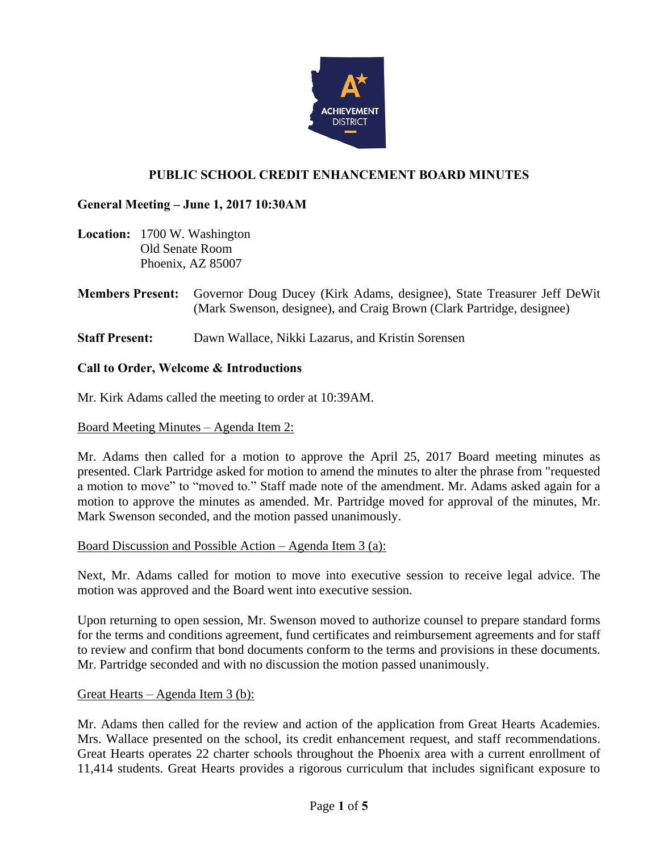

# **PUBLIC SCHOOL CREDIT ENHANCEMENT BOARD MINUTES**

## **General Meeting – June 1, 2017 10:30AM**

- **Location:** 1700 W. Washington Old Senate Room Phoenix, AZ 85007
- **Members Present:** Governor Doug Ducey (Kirk Adams, designee), State Treasurer Jeff DeWit (Mark Swenson, designee), and Craig Brown (Clark Partridge, designee)
- **Staff Present:** Dawn Wallace, Nikki Lazarus, and Kristin Sorensen

### **Call to Order, Welcome & Introductions**

Mr. Kirk Adams called the meeting to order at 10:39AM.

#### Board Meeting Minutes – Agenda Item 2:

Mr. Adams then called for a motion to approve the April 25, 2017 Board meeting minutes as presented. Clark Partridge asked for motion to amend the minutes to alter the phrase from "requested a motion to move" to "moved to." Staff made note of the amendment. Mr. Adams asked again for a motion to approve the minutes as amended. Mr. Partridge moved for approval of the minutes, Mr. Mark Swenson seconded, and the motion passed unanimously.

#### Board Discussion and Possible Action – Agenda Item 3 (a):

Next, Mr. Adams called for motion to move into executive session to receive legal advice. The motion was approved and the Board went into executive session.

Upon returning to open session, Mr. Swenson moved to authorize counsel to prepare standard forms for the terms and conditions agreement, fund certificates and reimbursement agreements and for staff to review and confirm that bond documents conform to the terms and provisions in these documents. Mr. Partridge seconded and with no discussion the motion passed unanimously.

#### Great Hearts – Agenda Item 3 (b):

Mr. Adams then called for the review and action of the application from Great Hearts Academies. Mrs. Wallace presented on the school, its credit enhancement request, and staff recommendations. Great Hearts operates 22 charter schools throughout the Phoenix area with a current enrollment of 11,414 students. Great Hearts provides a rigorous curriculum that includes significant exposure to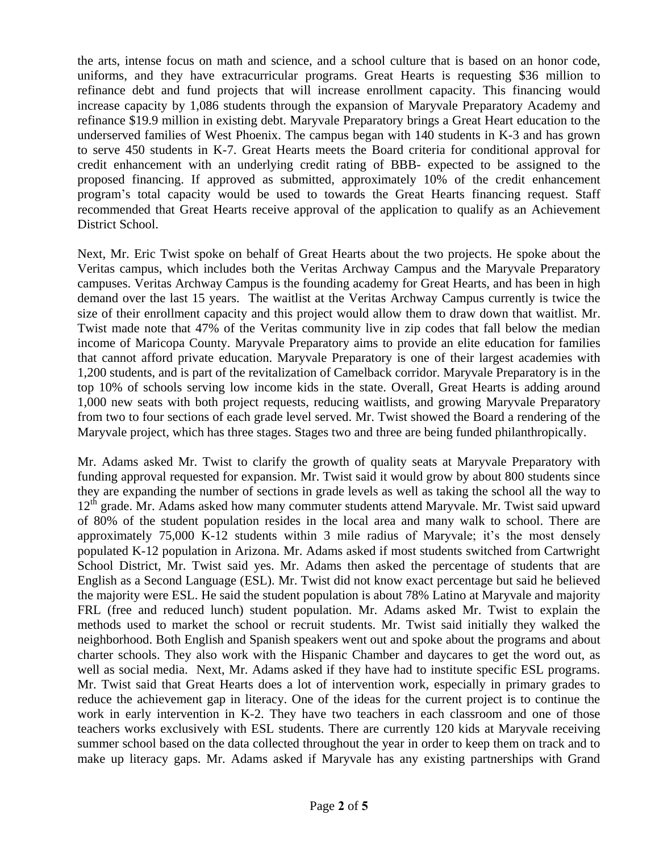the arts, intense focus on math and science, and a school culture that is based on an honor code, uniforms, and they have extracurricular programs. Great Hearts is requesting \$36 million to refinance debt and fund projects that will increase enrollment capacity. This financing would increase capacity by 1,086 students through the expansion of Maryvale Preparatory Academy and refinance \$19.9 million in existing debt. Maryvale Preparatory brings a Great Heart education to the underserved families of West Phoenix. The campus began with 140 students in K-3 and has grown to serve 450 students in K-7. Great Hearts meets the Board criteria for conditional approval for credit enhancement with an underlying credit rating of BBB- expected to be assigned to the proposed financing. If approved as submitted, approximately 10% of the credit enhancement program's total capacity would be used to towards the Great Hearts financing request. Staff recommended that Great Hearts receive approval of the application to qualify as an Achievement District School.

Next, Mr. Eric Twist spoke on behalf of Great Hearts about the two projects. He spoke about the Veritas campus, which includes both the Veritas Archway Campus and the Maryvale Preparatory campuses. Veritas Archway Campus is the founding academy for Great Hearts, and has been in high demand over the last 15 years. The waitlist at the Veritas Archway Campus currently is twice the size of their enrollment capacity and this project would allow them to draw down that waitlist. Mr. Twist made note that 47% of the Veritas community live in zip codes that fall below the median income of Maricopa County. Maryvale Preparatory aims to provide an elite education for families that cannot afford private education. Maryvale Preparatory is one of their largest academies with 1,200 students, and is part of the revitalization of Camelback corridor. Maryvale Preparatory is in the top 10% of schools serving low income kids in the state. Overall, Great Hearts is adding around 1,000 new seats with both project requests, reducing waitlists, and growing Maryvale Preparatory from two to four sections of each grade level served. Mr. Twist showed the Board a rendering of the Maryvale project, which has three stages. Stages two and three are being funded philanthropically.

Mr. Adams asked Mr. Twist to clarify the growth of quality seats at Maryvale Preparatory with funding approval requested for expansion. Mr. Twist said it would grow by about 800 students since they are expanding the number of sections in grade levels as well as taking the school all the way to  $12<sup>th</sup>$  grade. Mr. Adams asked how many commuter students attend Maryvale. Mr. Twist said upward of 80% of the student population resides in the local area and many walk to school. There are approximately 75,000 K-12 students within 3 mile radius of Maryvale; it's the most densely populated K-12 population in Arizona. Mr. Adams asked if most students switched from Cartwright School District, Mr. Twist said yes. Mr. Adams then asked the percentage of students that are English as a Second Language (ESL). Mr. Twist did not know exact percentage but said he believed the majority were ESL. He said the student population is about 78% Latino at Maryvale and majority FRL (free and reduced lunch) student population. Mr. Adams asked Mr. Twist to explain the methods used to market the school or recruit students. Mr. Twist said initially they walked the neighborhood. Both English and Spanish speakers went out and spoke about the programs and about charter schools. They also work with the Hispanic Chamber and daycares to get the word out, as well as social media. Next, Mr. Adams asked if they have had to institute specific ESL programs. Mr. Twist said that Great Hearts does a lot of intervention work, especially in primary grades to reduce the achievement gap in literacy. One of the ideas for the current project is to continue the work in early intervention in K-2. They have two teachers in each classroom and one of those teachers works exclusively with ESL students. There are currently 120 kids at Maryvale receiving summer school based on the data collected throughout the year in order to keep them on track and to make up literacy gaps. Mr. Adams asked if Maryvale has any existing partnerships with Grand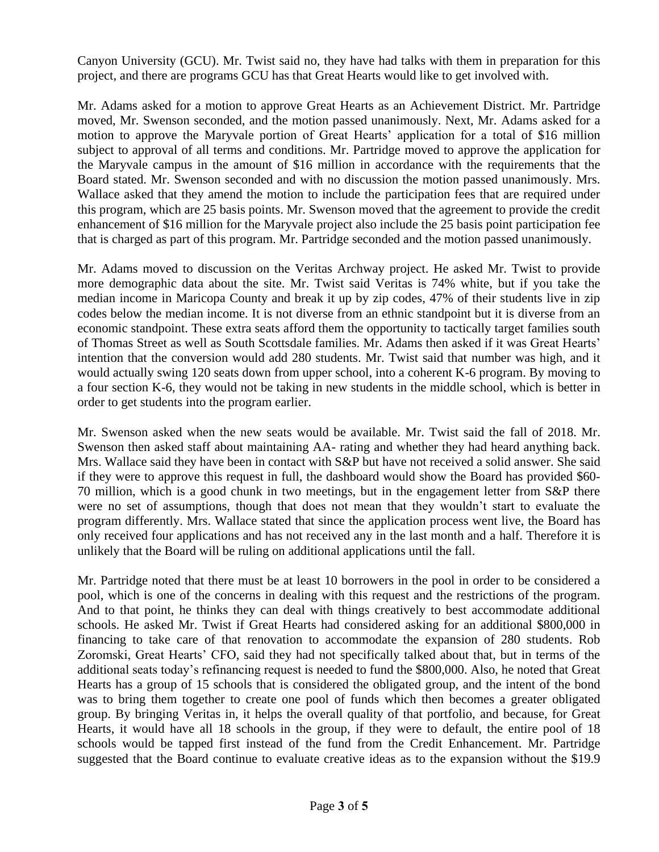Canyon University (GCU). Mr. Twist said no, they have had talks with them in preparation for this project, and there are programs GCU has that Great Hearts would like to get involved with.

Mr. Adams asked for a motion to approve Great Hearts as an Achievement District. Mr. Partridge moved, Mr. Swenson seconded, and the motion passed unanimously. Next, Mr. Adams asked for a motion to approve the Maryvale portion of Great Hearts' application for a total of \$16 million subject to approval of all terms and conditions. Mr. Partridge moved to approve the application for the Maryvale campus in the amount of \$16 million in accordance with the requirements that the Board stated. Mr. Swenson seconded and with no discussion the motion passed unanimously. Mrs. Wallace asked that they amend the motion to include the participation fees that are required under this program, which are 25 basis points. Mr. Swenson moved that the agreement to provide the credit enhancement of \$16 million for the Maryvale project also include the 25 basis point participation fee that is charged as part of this program. Mr. Partridge seconded and the motion passed unanimously.

Mr. Adams moved to discussion on the Veritas Archway project. He asked Mr. Twist to provide more demographic data about the site. Mr. Twist said Veritas is 74% white, but if you take the median income in Maricopa County and break it up by zip codes, 47% of their students live in zip codes below the median income. It is not diverse from an ethnic standpoint but it is diverse from an economic standpoint. These extra seats afford them the opportunity to tactically target families south of Thomas Street as well as South Scottsdale families. Mr. Adams then asked if it was Great Hearts' intention that the conversion would add 280 students. Mr. Twist said that number was high, and it would actually swing 120 seats down from upper school, into a coherent K-6 program. By moving to a four section K-6, they would not be taking in new students in the middle school, which is better in order to get students into the program earlier.

Mr. Swenson asked when the new seats would be available. Mr. Twist said the fall of 2018. Mr. Swenson then asked staff about maintaining AA- rating and whether they had heard anything back. Mrs. Wallace said they have been in contact with S&P but have not received a solid answer. She said if they were to approve this request in full, the dashboard would show the Board has provided \$60- 70 million, which is a good chunk in two meetings, but in the engagement letter from S&P there were no set of assumptions, though that does not mean that they wouldn't start to evaluate the program differently. Mrs. Wallace stated that since the application process went live, the Board has only received four applications and has not received any in the last month and a half. Therefore it is unlikely that the Board will be ruling on additional applications until the fall.

Mr. Partridge noted that there must be at least 10 borrowers in the pool in order to be considered a pool, which is one of the concerns in dealing with this request and the restrictions of the program. And to that point, he thinks they can deal with things creatively to best accommodate additional schools. He asked Mr. Twist if Great Hearts had considered asking for an additional \$800,000 in financing to take care of that renovation to accommodate the expansion of 280 students. Rob Zoromski, Great Hearts' CFO, said they had not specifically talked about that, but in terms of the additional seats today's refinancing request is needed to fund the \$800,000. Also, he noted that Great Hearts has a group of 15 schools that is considered the obligated group, and the intent of the bond was to bring them together to create one pool of funds which then becomes a greater obligated group. By bringing Veritas in, it helps the overall quality of that portfolio, and because, for Great Hearts, it would have all 18 schools in the group, if they were to default, the entire pool of 18 schools would be tapped first instead of the fund from the Credit Enhancement. Mr. Partridge suggested that the Board continue to evaluate creative ideas as to the expansion without the \$19.9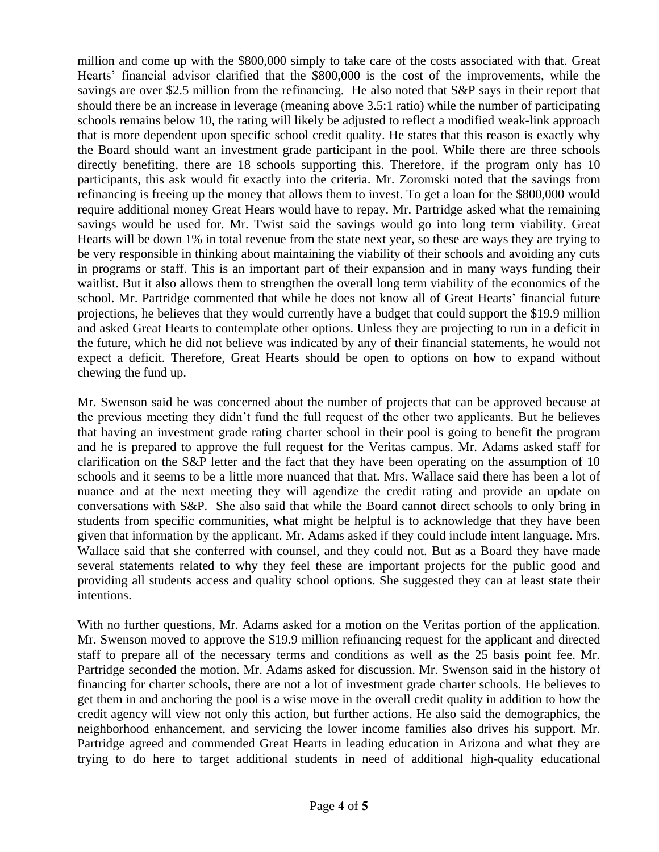million and come up with the \$800,000 simply to take care of the costs associated with that. Great Hearts' financial advisor clarified that the \$800,000 is the cost of the improvements, while the savings are over \$2.5 million from the refinancing. He also noted that S&P says in their report that should there be an increase in leverage (meaning above 3.5:1 ratio) while the number of participating schools remains below 10, the rating will likely be adjusted to reflect a modified weak-link approach that is more dependent upon specific school credit quality. He states that this reason is exactly why the Board should want an investment grade participant in the pool. While there are three schools directly benefiting, there are 18 schools supporting this. Therefore, if the program only has 10 participants, this ask would fit exactly into the criteria. Mr. Zoromski noted that the savings from refinancing is freeing up the money that allows them to invest. To get a loan for the \$800,000 would require additional money Great Hears would have to repay. Mr. Partridge asked what the remaining savings would be used for. Mr. Twist said the savings would go into long term viability. Great Hearts will be down 1% in total revenue from the state next year, so these are ways they are trying to be very responsible in thinking about maintaining the viability of their schools and avoiding any cuts in programs or staff. This is an important part of their expansion and in many ways funding their waitlist. But it also allows them to strengthen the overall long term viability of the economics of the school. Mr. Partridge commented that while he does not know all of Great Hearts' financial future projections, he believes that they would currently have a budget that could support the \$19.9 million and asked Great Hearts to contemplate other options. Unless they are projecting to run in a deficit in the future, which he did not believe was indicated by any of their financial statements, he would not expect a deficit. Therefore, Great Hearts should be open to options on how to expand without chewing the fund up.

Mr. Swenson said he was concerned about the number of projects that can be approved because at the previous meeting they didn't fund the full request of the other two applicants. But he believes that having an investment grade rating charter school in their pool is going to benefit the program and he is prepared to approve the full request for the Veritas campus. Mr. Adams asked staff for clarification on the S&P letter and the fact that they have been operating on the assumption of 10 schools and it seems to be a little more nuanced that that. Mrs. Wallace said there has been a lot of nuance and at the next meeting they will agendize the credit rating and provide an update on conversations with S&P. She also said that while the Board cannot direct schools to only bring in students from specific communities, what might be helpful is to acknowledge that they have been given that information by the applicant. Mr. Adams asked if they could include intent language. Mrs. Wallace said that she conferred with counsel, and they could not. But as a Board they have made several statements related to why they feel these are important projects for the public good and providing all students access and quality school options. She suggested they can at least state their intentions.

With no further questions, Mr. Adams asked for a motion on the Veritas portion of the application. Mr. Swenson moved to approve the \$19.9 million refinancing request for the applicant and directed staff to prepare all of the necessary terms and conditions as well as the 25 basis point fee. Mr. Partridge seconded the motion. Mr. Adams asked for discussion. Mr. Swenson said in the history of financing for charter schools, there are not a lot of investment grade charter schools. He believes to get them in and anchoring the pool is a wise move in the overall credit quality in addition to how the credit agency will view not only this action, but further actions. He also said the demographics, the neighborhood enhancement, and servicing the lower income families also drives his support. Mr. Partridge agreed and commended Great Hearts in leading education in Arizona and what they are trying to do here to target additional students in need of additional high-quality educational